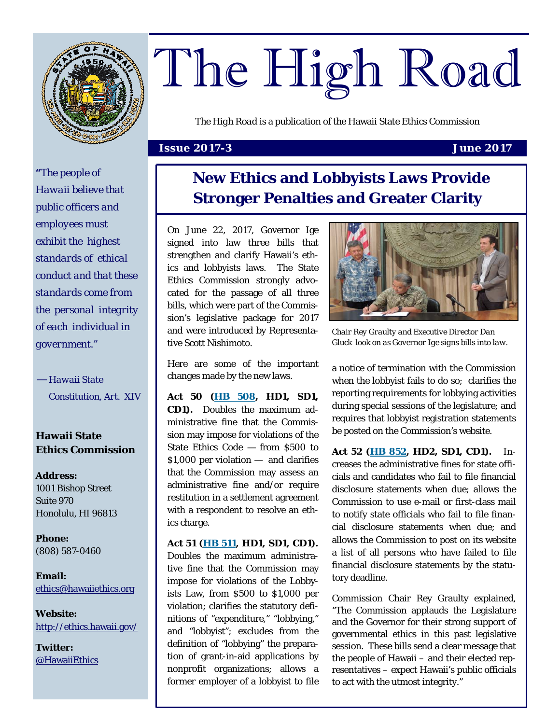

# The High Road

*The High Road* is a publication of the Hawaii State Ethics Commission

#### **Issue 2017-3 June 2017**

*"The people of Hawaii believe that public officers and employees must exhibit the highest standards of ethical conduct and that these standards come from the personal integrity of each individual in government."* 

*— Hawaii State Constitution, Art. XIV* 

#### **Hawaii State Ethics Commission**

**Address:**  1001 Bishop Street Suite 970 Honolulu, HI 96813

**Phone:**  (808) 587-0460

**Email:**  [ethics@hawaiiethics.org](mailto:ethics@hawaiiethics.org)

**Website:**  <http://ethics.hawaii.gov/>

**Twitter:**  [@HawaiiEthics](https://twitter.com/HawaiiEthics)  **New Ethics and Lobbyists Laws Provide Stronger Penalties and Greater Clarity** 

On June 22, 2017, Governor Ige signed into law three bills that strengthen and clarify Hawaii's ethics and lobbyists laws. The State Ethics Commission strongly advocated for the passage of all three bills, which were part of the Commission's legislative package for 2017 and were introduced by Representative Scott Nishimoto.

Here are some of the important changes made by the new laws.

**Act 50 [\(HB 508](http://www.capitol.hawaii.gov/measure_indiv.aspx?billtype=HB&billnumber=508&year=2017), HD1, SD1, CD1).** Doubles the maximum administrative fine that the Commission may impose for violations of the State Ethics Code — from \$500 to \$1,000 per violation — and clarifies that the Commission may assess an administrative fine and/or require restitution in a settlement agreement with a respondent to resolve an ethics charge.

**Act 51 [\(HB 511,](http://www.capitol.hawaii.gov/measure_indiv.aspx?billtype=HB&billnumber=511) HD1, SD1, CD1).** Doubles the maximum administrative fine that the Commission may impose for violations of the Lobbyists Law, from \$500 to \$1,000 per violation; clarifies the statutory definitions of "expenditure," "lobbying," and "lobbyist"; excludes from the definition of "lobbying" the preparation of grant-in-aid applications by nonprofit organizations; allows a former employer of a lobbyist to file



*Chair Rey Graulty and Executive Director Dan Gluck look on as Governor Ige signs bills into law.* 

a notice of termination with the Commission when the lobbyist fails to do so; clarifies the reporting requirements for lobbying activities during special sessions of the legislature; and requires that lobbyist registration statements be posted on the Commission's website.

**Act 52 ([HB 852,](http://www.capitol.hawaii.gov/measure_indiv.aspx?billtype=HB&billnumber=852) HD2, SD1, CD1).** Increases the administrative fines for state officials and candidates who fail to file financial disclosure statements when due; allows the Commission to use e-mail or first-class mail to notify state officials who fail to file financial disclosure statements when due; and allows the Commission to post on its website a list of all persons who have failed to file financial disclosure statements by the statutory deadline.

Commission Chair Rey Graulty explained, "The Commission applauds the Legislature and the Governor for their strong support of governmental ethics in this past legislative session. These bills send a clear message that the people of Hawaii – and their elected representatives – expect Hawaii's public officials to act with the utmost integrity."